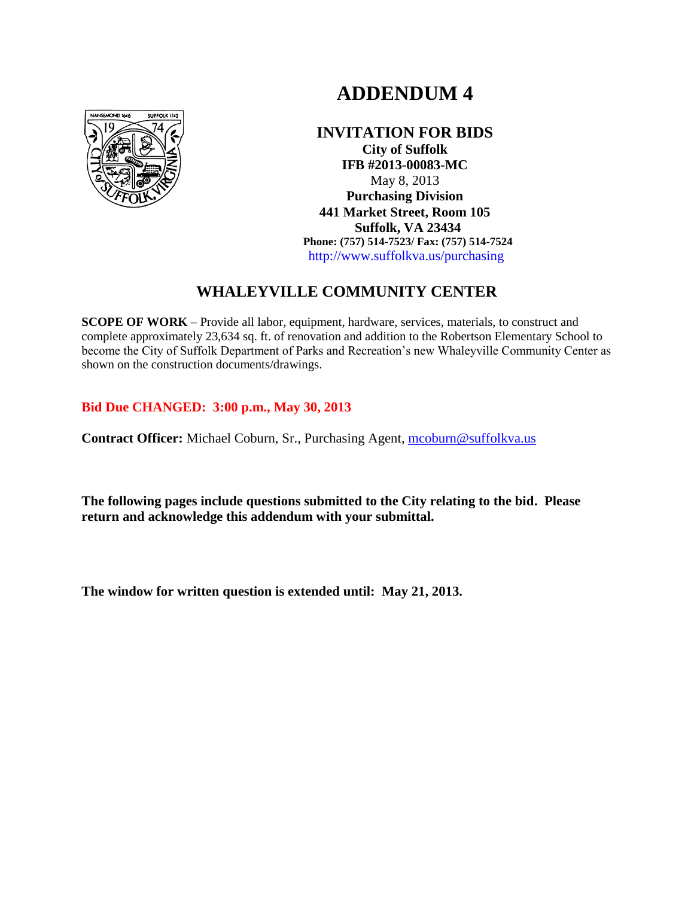# **ADDENDUM 4**



**INVITATION FOR BIDS City of Suffolk IFB #2013-00083-MC** May 8, 2013 **Purchasing Division 441 Market Street, Room 105 Suffolk, VA 23434 Phone: (757) 514-7523/ Fax: (757) 514-7524** http://www.suffolkva.us/purchasing

## **WHALEYVILLE COMMUNITY CENTER**

**SCOPE OF WORK** – Provide all labor, equipment, hardware, services, materials, to construct and complete approximately 23,634 sq. ft. of renovation and addition to the Robertson Elementary School to become the City of Suffolk Department of Parks and Recreation's new Whaleyville Community Center as shown on the construction documents/drawings.

## **Bid Due CHANGED: 3:00 p.m., May 30, 2013**

**Contract Officer:** Michael Coburn, Sr., Purchasing Agent, [mcoburn@suffolkva.us](mailto:mcoburn@suffolkva.us)

**The following pages include questions submitted to the City relating to the bid. Please return and acknowledge this addendum with your submittal.** 

**The window for written question is extended until: May 21, 2013.**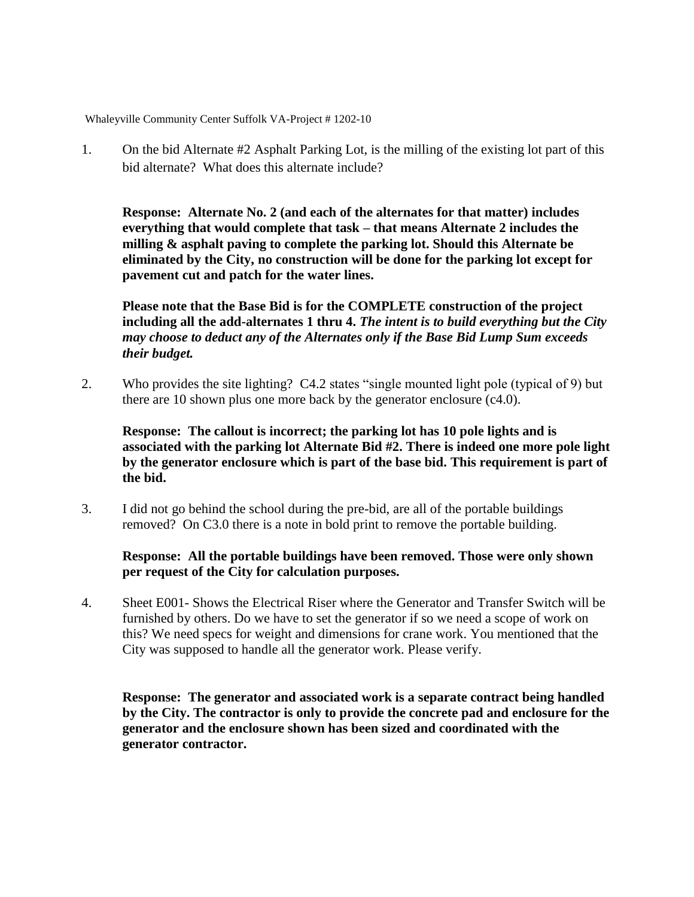Whaleyville Community Center Suffolk VA-Project # 1202-10

1. On the bid Alternate #2 Asphalt Parking Lot, is the milling of the existing lot part of this bid alternate? What does this alternate include?

**Response: Alternate No. 2 (and each of the alternates for that matter) includes everything that would complete that task – that means Alternate 2 includes the milling & asphalt paving to complete the parking lot. Should this Alternate be eliminated by the City, no construction will be done for the parking lot except for pavement cut and patch for the water lines.**

**Please note that the Base Bid is for the COMPLETE construction of the project including all the add-alternates 1 thru 4.** *The intent is to build everything but the City may choose to deduct any of the Alternates only if the Base Bid Lump Sum exceeds their budget.*

2. Who provides the site lighting? C4.2 states "single mounted light pole (typical of 9) but there are 10 shown plus one more back by the generator enclosure (c4.0).

**Response: The callout is incorrect; the parking lot has 10 pole lights and is associated with the parking lot Alternate Bid #2. There is indeed one more pole light by the generator enclosure which is part of the base bid. This requirement is part of the bid.** 

3. I did not go behind the school during the pre-bid, are all of the portable buildings removed? On C3.0 there is a note in bold print to remove the portable building.

#### **Response: All the portable buildings have been removed. Those were only shown per request of the City for calculation purposes.**

4. Sheet E001- Shows the Electrical Riser where the Generator and Transfer Switch will be furnished by others. Do we have to set the generator if so we need a scope of work on this? We need specs for weight and dimensions for crane work. You mentioned that the City was supposed to handle all the generator work. Please verify.

**Response: The generator and associated work is a separate contract being handled by the City. The contractor is only to provide the concrete pad and enclosure for the generator and the enclosure shown has been sized and coordinated with the generator contractor.**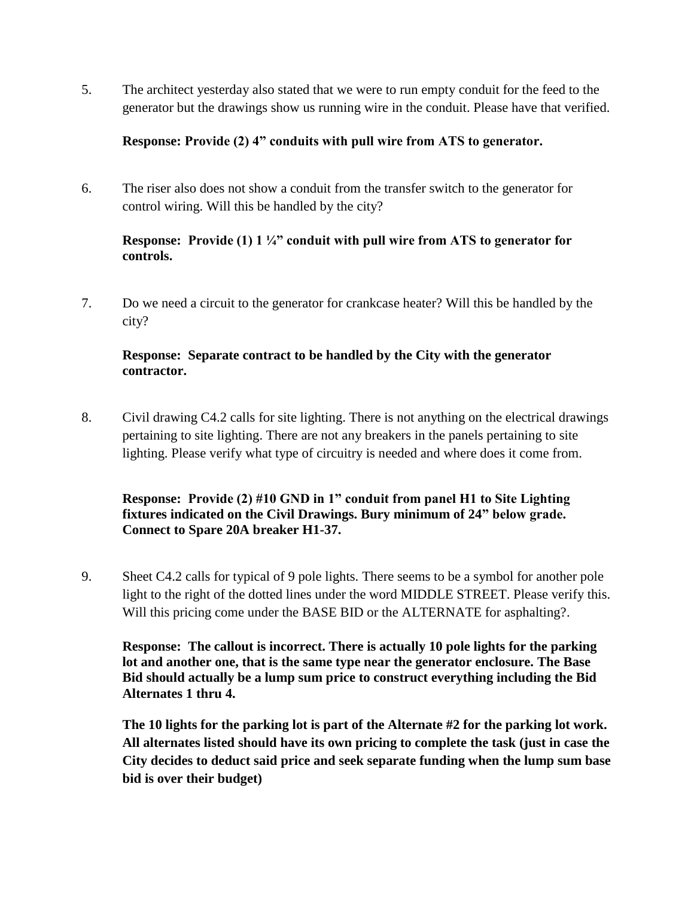5. The architect yesterday also stated that we were to run empty conduit for the feed to the generator but the drawings show us running wire in the conduit. Please have that verified.

## **Response: Provide (2) 4" conduits with pull wire from ATS to generator.**

6. The riser also does not show a conduit from the transfer switch to the generator for control wiring. Will this be handled by the city?

## **Response: Provide (1) 1 ¼" conduit with pull wire from ATS to generator for controls.**

7. Do we need a circuit to the generator for crankcase heater? Will this be handled by the city?

## **Response: Separate contract to be handled by the City with the generator contractor.**

8. Civil drawing C4.2 calls for site lighting. There is not anything on the electrical drawings pertaining to site lighting. There are not any breakers in the panels pertaining to site lighting. Please verify what type of circuitry is needed and where does it come from.

## **Response: Provide (2) #10 GND in 1" conduit from panel H1 to Site Lighting fixtures indicated on the Civil Drawings. Bury minimum of 24" below grade. Connect to Spare 20A breaker H1-37.**

9. Sheet C4.2 calls for typical of 9 pole lights. There seems to be a symbol for another pole light to the right of the dotted lines under the word MIDDLE STREET. Please verify this. Will this pricing come under the BASE BID or the ALTERNATE for asphalting?.

**Response: The callout is incorrect. There is actually 10 pole lights for the parking lot and another one, that is the same type near the generator enclosure. The Base Bid should actually be a lump sum price to construct everything including the Bid Alternates 1 thru 4.** 

**The 10 lights for the parking lot is part of the Alternate #2 for the parking lot work. All alternates listed should have its own pricing to complete the task (just in case the City decides to deduct said price and seek separate funding when the lump sum base bid is over their budget)**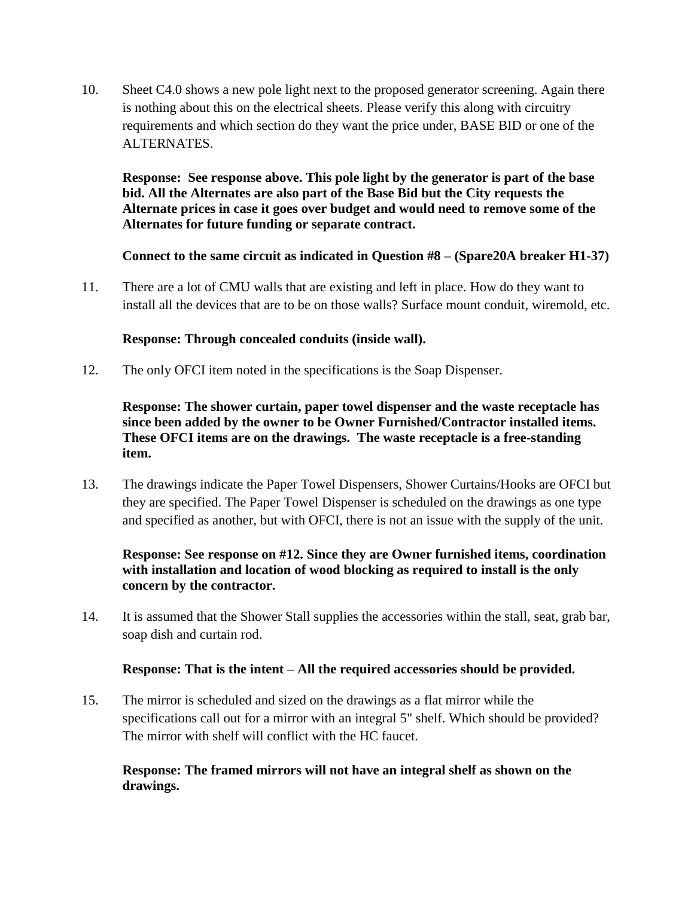10. Sheet C4.0 shows a new pole light next to the proposed generator screening. Again there is nothing about this on the electrical sheets. Please verify this along with circuitry requirements and which section do they want the price under, BASE BID or one of the ALTERNATES.

**Response: See response above. This pole light by the generator is part of the base bid. All the Alternates are also part of the Base Bid but the City requests the Alternate prices in case it goes over budget and would need to remove some of the Alternates for future funding or separate contract.**

**Connect to the same circuit as indicated in Question #8 – (Spare20A breaker H1-37)**

11. There are a lot of CMU walls that are existing and left in place. How do they want to install all the devices that are to be on those walls? Surface mount conduit, wiremold, etc.

## **Response: Through concealed conduits (inside wall).**

12. The only OFCI item noted in the specifications is the Soap Dispenser.

## **Response: The shower curtain, paper towel dispenser and the waste receptacle has since been added by the owner to be Owner Furnished/Contractor installed items. These OFCI items are on the drawings. The waste receptacle is a free-standing item.**

13. The drawings indicate the Paper Towel Dispensers, Shower Curtains/Hooks are OFCI but they are specified. The Paper Towel Dispenser is scheduled on the drawings as one type and specified as another, but with OFCI, there is not an issue with the supply of the unit.

## **Response: See response on #12. Since they are Owner furnished items, coordination with installation and location of wood blocking as required to install is the only concern by the contractor.**

14. It is assumed that the Shower Stall supplies the accessories within the stall, seat, grab bar, soap dish and curtain rod.

## **Response: That is the intent – All the required accessories should be provided.**

15. The mirror is scheduled and sized on the drawings as a flat mirror while the specifications call out for a mirror with an integral 5" shelf. Which should be provided? The mirror with shelf will conflict with the HC faucet.

## **Response: The framed mirrors will not have an integral shelf as shown on the drawings.**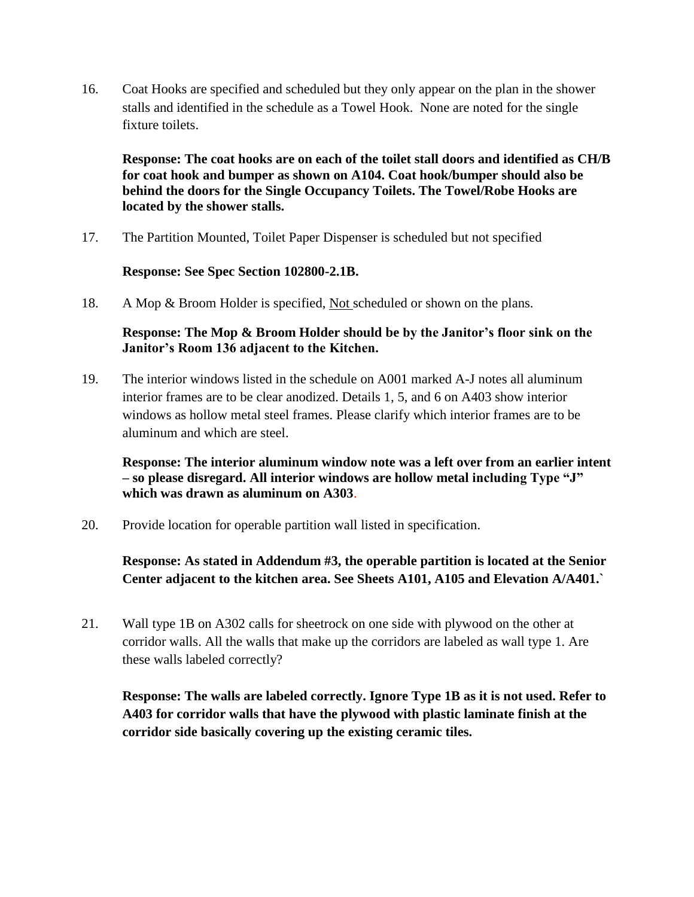16. Coat Hooks are specified and scheduled but they only appear on the plan in the shower stalls and identified in the schedule as a Towel Hook. None are noted for the single fixture toilets.

**Response: The coat hooks are on each of the toilet stall doors and identified as CH/B for coat hook and bumper as shown on A104. Coat hook/bumper should also be behind the doors for the Single Occupancy Toilets. The Towel/Robe Hooks are located by the shower stalls.**

17. The Partition Mounted, Toilet Paper Dispenser is scheduled but not specified

#### **Response: See Spec Section 102800-2.1B.**

18. A Mop & Broom Holder is specified, Not scheduled or shown on the plans.

## **Response: The Mop & Broom Holder should be by the Janitor"s floor sink on the Janitor"s Room 136 adjacent to the Kitchen.**

19. The interior windows listed in the schedule on A001 marked A-J notes all aluminum interior frames are to be clear anodized. Details 1, 5, and 6 on A403 show interior windows as hollow metal steel frames. Please clarify which interior frames are to be aluminum and which are steel.

**Response: The interior aluminum window note was a left over from an earlier intent – so please disregard. All interior windows are hollow metal including Type "J" which was drawn as aluminum on A303**.

20. Provide location for operable partition wall listed in specification.

## **Response: As stated in Addendum #3, the operable partition is located at the Senior Center adjacent to the kitchen area. See Sheets A101, A105 and Elevation A/A401.`**

21. Wall type 1B on A302 calls for sheetrock on one side with plywood on the other at corridor walls. All the walls that make up the corridors are labeled as wall type 1. Are these walls labeled correctly?

**Response: The walls are labeled correctly. Ignore Type 1B as it is not used. Refer to A403 for corridor walls that have the plywood with plastic laminate finish at the corridor side basically covering up the existing ceramic tiles.**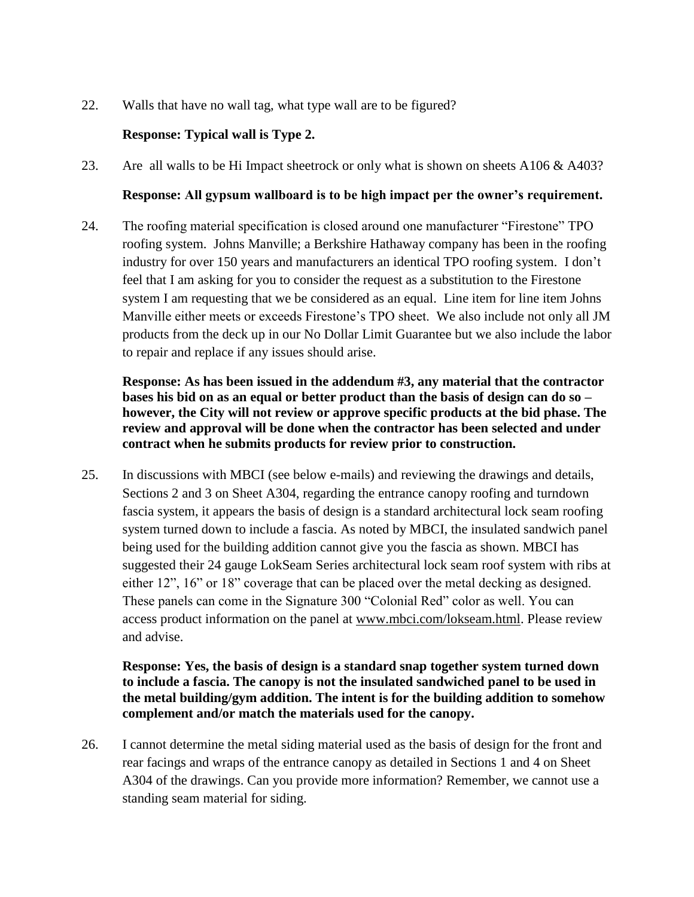22. Walls that have no wall tag, what type wall are to be figured?

## **Response: Typical wall is Type 2.**

23. Are all walls to be Hi Impact sheetrock or only what is shown on sheets A106 & A403?

#### **Response: All gypsum wallboard is to be high impact per the owner"s requirement.**

24. The roofing material specification is closed around one manufacturer "Firestone" TPO roofing system. Johns Manville; a Berkshire Hathaway company has been in the roofing industry for over 150 years and manufacturers an identical TPO roofing system. I don't feel that I am asking for you to consider the request as a substitution to the Firestone system I am requesting that we be considered as an equal. Line item for line item Johns Manville either meets or exceeds Firestone's TPO sheet. We also include not only all JM products from the deck up in our No Dollar Limit Guarantee but we also include the labor to repair and replace if any issues should arise.

**Response: As has been issued in the addendum #3, any material that the contractor bases his bid on as an equal or better product than the basis of design can do so – however, the City will not review or approve specific products at the bid phase. The review and approval will be done when the contractor has been selected and under contract when he submits products for review prior to construction.**

25. In discussions with MBCI (see below e-mails) and reviewing the drawings and details, Sections 2 and 3 on Sheet A304, regarding the entrance canopy roofing and turndown fascia system, it appears the basis of design is a standard architectural lock seam roofing system turned down to include a fascia. As noted by MBCI, the insulated sandwich panel being used for the building addition cannot give you the fascia as shown. MBCI has suggested their 24 gauge LokSeam Series architectural lock seam roof system with ribs at either 12", 16" or 18" coverage that can be placed over the metal decking as designed. These panels can come in the Signature 300 "Colonial Red" color as well. You can access product information on the panel at [www.mbci.com/lokseam.html.](http://www.mbci.com/lokseam.html) Please review and advise.

**Response: Yes, the basis of design is a standard snap together system turned down to include a fascia. The canopy is not the insulated sandwiched panel to be used in the metal building/gym addition. The intent is for the building addition to somehow complement and/or match the materials used for the canopy.**

26. I cannot determine the metal siding material used as the basis of design for the front and rear facings and wraps of the entrance canopy as detailed in Sections 1 and 4 on Sheet A304 of the drawings. Can you provide more information? Remember, we cannot use a standing seam material for siding.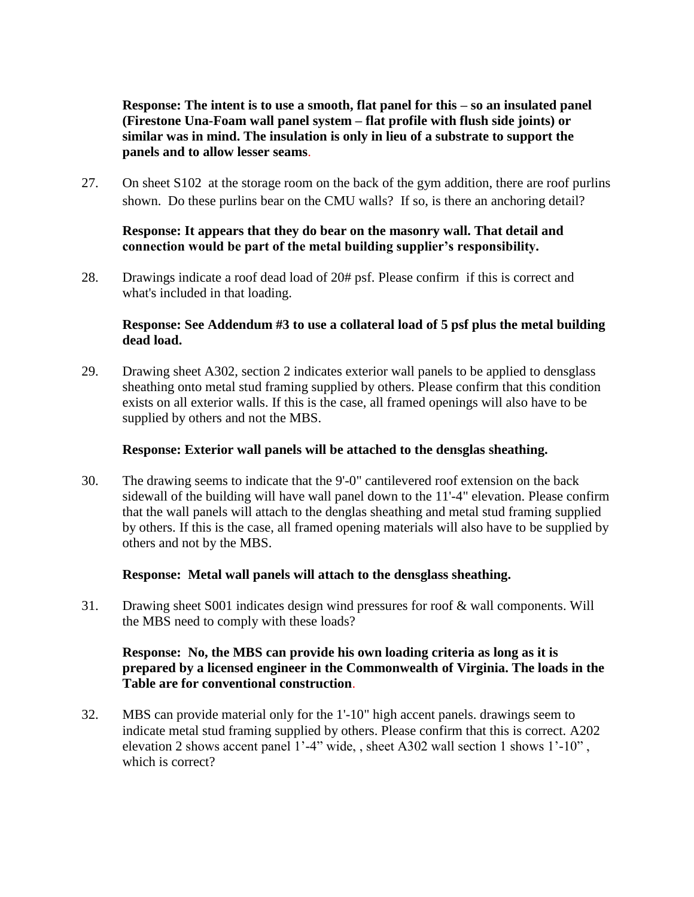**Response: The intent is to use a smooth, flat panel for this – so an insulated panel (Firestone Una-Foam wall panel system – flat profile with flush side joints) or similar was in mind. The insulation is only in lieu of a substrate to support the panels and to allow lesser seams**.

27. On sheet S102 at the storage room on the back of the gym addition, there are roof purlins shown. Do these purlins bear on the CMU walls? If so, is there an anchoring detail?

## **Response: It appears that they do bear on the masonry wall. That detail and connection would be part of the metal building supplier"s responsibility.**

28. Drawings indicate a roof dead load of 20# psf. Please confirm if this is correct and what's included in that loading.

#### **Response: See Addendum #3 to use a collateral load of 5 psf plus the metal building dead load.**

29. Drawing sheet A302, section 2 indicates exterior wall panels to be applied to densglass sheathing onto metal stud framing supplied by others. Please confirm that this condition exists on all exterior walls. If this is the case, all framed openings will also have to be supplied by others and not the MBS.

#### **Response: Exterior wall panels will be attached to the densglas sheathing.**

30. The drawing seems to indicate that the 9'-0" cantilevered roof extension on the back sidewall of the building will have wall panel down to the 11'-4" elevation. Please confirm that the wall panels will attach to the denglas sheathing and metal stud framing supplied by others. If this is the case, all framed opening materials will also have to be supplied by others and not by the MBS.

#### **Response: Metal wall panels will attach to the densglass sheathing.**

31. Drawing sheet S001 indicates design wind pressures for roof & wall components. Will the MBS need to comply with these loads?

#### **Response: No, the MBS can provide his own loading criteria as long as it is prepared by a licensed engineer in the Commonwealth of Virginia. The loads in the Table are for conventional construction**.

32. MBS can provide material only for the 1'-10" high accent panels. drawings seem to indicate metal stud framing supplied by others. Please confirm that this is correct. A202 elevation 2 shows accent panel 1'-4" wide, , sheet A302 wall section 1 shows 1'-10" , which is correct?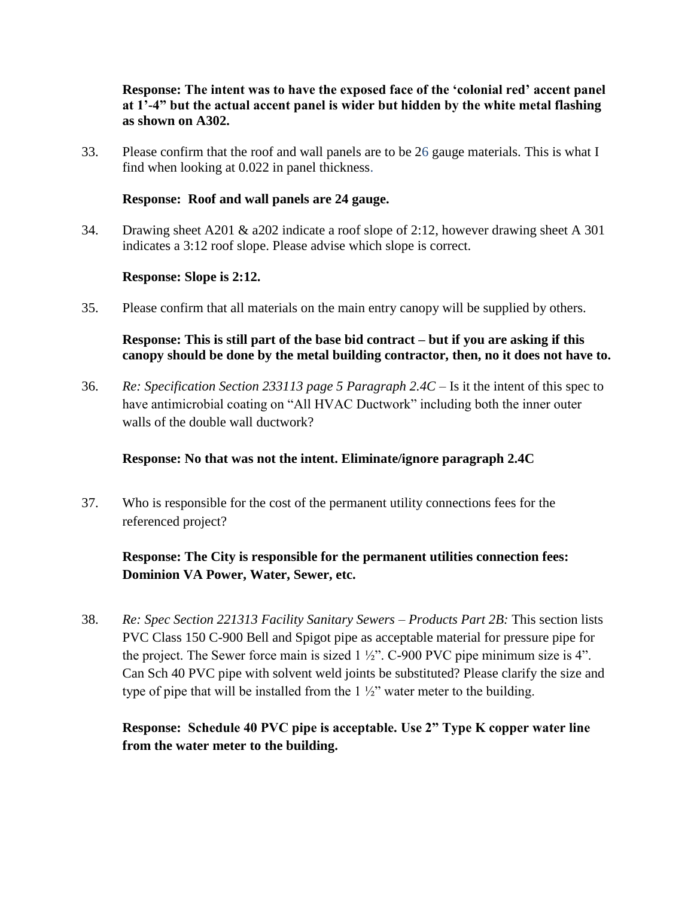#### **Response: The intent was to have the exposed face of the "colonial red" accent panel at 1"-4" but the actual accent panel is wider but hidden by the white metal flashing as shown on A302.**

33. Please confirm that the roof and wall panels are to be 26 gauge materials. This is what I find when looking at 0.022 in panel thickness.

#### **Response: Roof and wall panels are 24 gauge.**

34. Drawing sheet A201 & a202 indicate a roof slope of 2:12, however drawing sheet A 301 indicates a 3:12 roof slope. Please advise which slope is correct.

#### **Response: Slope is 2:12.**

35. Please confirm that all materials on the main entry canopy will be supplied by others.

## **Response: This is still part of the base bid contract – but if you are asking if this canopy should be done by the metal building contractor, then, no it does not have to.**

36. *Re: Specification Section 233113 page 5 Paragraph 2.4C* – Is it the intent of this spec to have antimicrobial coating on "All HVAC Ductwork" including both the inner outer walls of the double wall ductwork?

## **Response: No that was not the intent. Eliminate/ignore paragraph 2.4C**

37. Who is responsible for the cost of the permanent utility connections fees for the referenced project?

## **Response: The City is responsible for the permanent utilities connection fees: Dominion VA Power, Water, Sewer, etc.**

38. *Re: Spec Section 221313 Facility Sanitary Sewers – Products Part 2B:* This section lists PVC Class 150 C-900 Bell and Spigot pipe as acceptable material for pressure pipe for the project. The Sewer force main is sized  $1\frac{1}{2}$ . C-900 PVC pipe minimum size is 4". Can Sch 40 PVC pipe with solvent weld joints be substituted? Please clarify the size and type of pipe that will be installed from the  $1\frac{1}{2}$ " water meter to the building.

## **Response: Schedule 40 PVC pipe is acceptable. Use 2" Type K copper water line from the water meter to the building.**